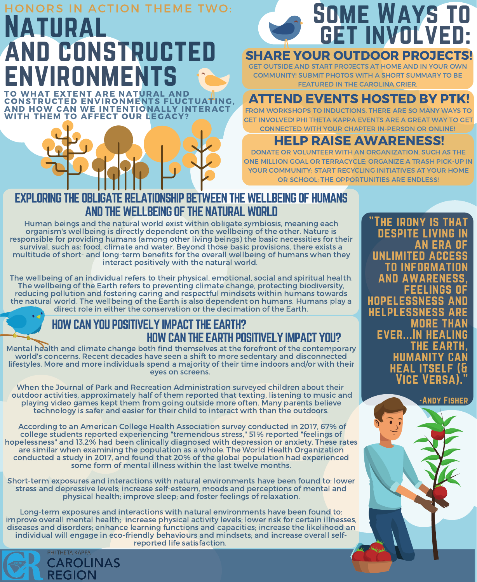# ATURAL and constructed environments HONORS IN ACTION THEME TWO: TO WHAT EXTENT ARE NATURAL AND

CONSTRUCTED ENVIRONMENTS FLUCTUATING, AND HOW CAN WE INTENTIONALLY INTERACT WITH THEM TO AFFECT OUR LEGACY?



## SHARE YOUR OUTDOOR PROJECTS!

GET OUTSIDE AND START PROJECTS AT HOME AND IN YOUR OWN COMMUNITY! SUBMIT PHOTOS WITH A SHORT SUMMARY TO BE FEATURED IN THE CAROLINA CRIER.

# ATTEND EVENTS HOSTED BY PTK!

FROM WORKSHOPS TO INDUCTIONS, THERE ARE SO MANY WAYS TO GET INVOLVED! PHI THETA KAPPA EVENTS ARE A GREAT WAY TO GET CONNECTED WITH YOUR CHAPTER IN-PERSON OR ONLINE!

## HELP RAISE AWARENESS!

DONATE OR VOLUNTEER WITH AN ORGANIZATION, SUCH AS THE ONE MILLION GOAL OR TERRACYCLE; ORGANIZE A TRASH PICK-UP IN YOUR COMMUNITY; START RECYCLING INITIATIVES AT YOUR HOME OR SCHOOL; THE OPPORTUNITIES ARE ENDLESS!

## EXPLORING THE OBLIGATE RELATIONSHIP BETWEEN THE WELLBEING OF HUMANS AND THE WELLBEING OF THE NATURAL WORLD

Human beings and the natural world exist within obligate symbiosis, meaning each organism's wellbeing is directly dependent on the wellbeing of the other. Nature is responsible for providing humans (among other living beings) the basic necessities for their survival, such as: food, climate and water. Beyond those basic provisions, there exists a multitude of short- and long-term benefits for the overall wellbeing of humans when they interact positively with the natural world.

The wellbeing of an individual refers to their physical, emotional, social and spiritual health.<br>The wellbeing of the Earth refers to preventing climate change, protecting biodiversity,<br>reducing pollution and fostering car the natural world. The wellbeing of the Earth is also dependent on humans. Humans play a direct role in either the conservation or the decimation of the Earth.

## HOWCAN YOU POSITIVELY IMPACT THE EARTH? HOWCAN THE EARTH POSITIVELY IMPACT YOU?

Mental health and climate change both find themselves at the forefront of the contemporary world's concerns. Recent decades have seen a shift to more sedentary and disconnected lifestyles. More and more individuals spend a majority of their time indoors and/or with their eyes on screens.

When the Journal of Park and Recreation Administration surveyed children about their outdoor activities, approximately half of them reported that texting, listening to music and playing video games kept them from going outside more often. Many parents believe technology is safer and easier for their child to interact with than the outdoors.

According to an American College Health Association survey conducted in 2017, 67% of college students reported experiencing "tremendous stress," 51% reported "feelings of hopelessness" and 13.2% had been clinically diagnosed with depression or anxiety. These rates are similar when examining the population as a whole. The World Health Organization conducted a study in 2017, and found that 20% of the global population had experienced some form of mental illness within the last twelve months.

Short-term exposures and interactions with natural environments have been found to: lower stress and depressive levels; increase self-esteem, moods and perceptions of mental and physical health; improve sleep; and foster feelings of relaxation.

Long-term exposures and interactions with natural environments have been found to:<br>improve overall mental health; increase physical activity levels; lower risk for certain illnesses, diseases and disorders; enhance learning functions and capacities; increase the likelihood an individual will engage in eco-friendly behaviours and mindsets; and increase overall self- reported life satisfaction.



**THE IRONY IS THAT** DESPITE LIVING **AN ERA** UNLIMITED ACCE to information **AND AWARENE** feelings of **HOPELESSNESS** helplessness are MORE THAN **EVER...IN HEAL** THE EAR **HUMANITY HEAL ITSELF** Vice Versa). "

-Andy Fisher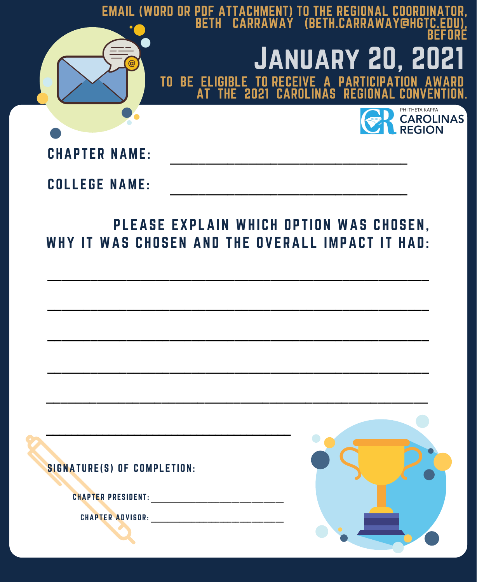

CHAPTER ADVISOR: \_\_\_\_\_\_\_\_\_\_\_\_\_\_\_\_\_\_\_\_\_\_\_\_\_\_\_\_\_\_\_\_\_

CHAPTER PRESIDENT : \_\_\_\_\_\_\_\_\_\_\_\_\_\_\_\_\_\_\_\_\_\_\_\_\_\_\_\_\_\_\_\_\_